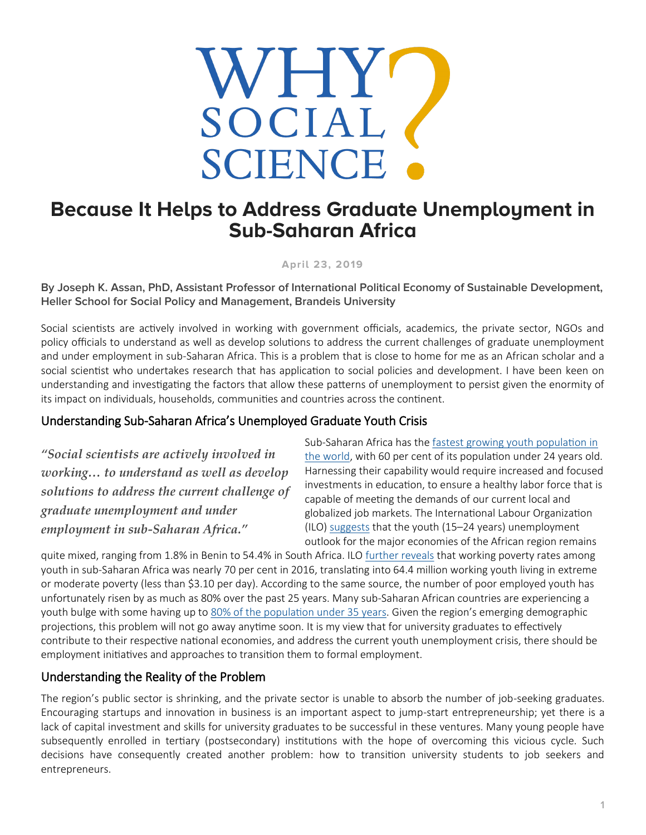

## **Because It Helps to Address Graduate Unemployment in Sub-Saharan Africa**

**April 23, 2019**

**By Joseph K. Assan, PhD, Assistant Professor of International Political Economy of Sustainable Development, Heller School for Social Policy and Management, Brandeis University**

Social scientists are actively involved in working with government officials, academics, the private sector, NGOs and policy officials to understand as well as develop solutions to address the current challenges of graduate unemployment and under employment in sub-Saharan Africa. This is a problem that is close to home for me as an African scholar and a social scientist who undertakes research that has application to social policies and development. I have been keen on understanding and investigating the factors that allow these patterns of unemployment to persist given the enormity of its impact on individuals, households, communities and countries across the continent.

## Understanding Sub-Saharan Africa's Unemployed Graduate Youth Crisis

*"Social scientists are actively involved in working… to understand as well as develop solutions to address the current challenge of graduate unemployment and under employment in sub-Saharan Africa."*

Sub-Saharan Africa has the [fastest growing youth population in](http://www.un.org/en/africa/osaa/events/2017/africaweek-youth.shtml)  [the world,](http://www.un.org/en/africa/osaa/events/2017/africaweek-youth.shtml) with 60 per cent of its population under 24 years old. Harnessing their capability would require increased and focused investments in education, to ensure a healthy labor force that is capable of meeting the demands of our current local and globalized job markets. The International Labour Organization (ILO) [suggests](https://www.indexmundi.com/facts/indicators/SL.UEM.1524.ZS/map/africa) that the youth (15–24 years) unemployment outlook for the major economies of the African region remains

quite mixed, ranging from 1.8% in Benin to 54.4% in South Africa. ILO [further reveals](https://www.ilo.org/addisababa/media-centre/pr/WCMS_514566/lang--en/index.htm) that working poverty rates among youth in sub-Saharan Africa was nearly 70 per cent in 2016, translating into 64.4 million working youth living in extreme or moderate poverty (less than \$3.10 per day). According to the same source, the number of poor employed youth has unfortunately risen by as much as 80% over the past 25 years. Many sub-Saharan African countries are experiencing a youth bulge with some having up to [80% of the population under 35 years.](https://www.indexmundi.com/facts/indicators/SL.UEM.1524.ZS/map/africa) Given the region's emerging demographic projections, this problem will not go away anytime soon. It is my view that for university graduates to effectively contribute to their respective national economies, and address the current youth unemployment crisis, there should be employment initiatives and approaches to transition them to formal employment.

## Understanding the Reality of the Problem

The region's public sector is shrinking, and the private sector is unable to absorb the number of job-seeking graduates. Encouraging startups and innovation in business is an important aspect to jump-start entrepreneurship; yet there is a lack of capital investment and skills for university graduates to be successful in these ventures. Many young people have subsequently enrolled in tertiary (postsecondary) institutions with the hope of overcoming this vicious cycle. Such decisions have consequently created another problem: how to transition university students to job seekers and entrepreneurs.